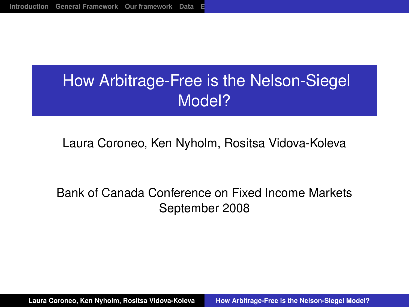# How Arbitrage-Free is the Nelson-Siegel Model?

#### Laura Coroneo, Ken Nyholm, Rositsa Vidova-Koleva

#### Bank of Canada Conference on Fixed Income Markets September 2008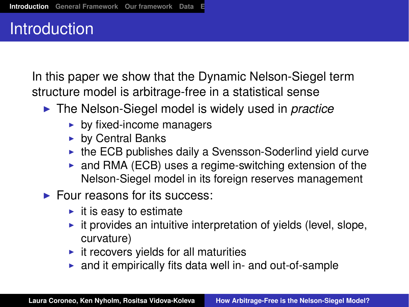#### **Introduction**

In this paper we show that the Dynamic Nelson-Siegel term structure model is arbitrage-free in a statistical sense

- ▶ The Nelson-Siegel model is widely used in *practice* 
	- $\blacktriangleright$  by fixed-income managers
	- $\blacktriangleright$  by Central Banks
	- $\triangleright$  the ECB publishes daily a Svensson-Soderlind yield curve
	- $\triangleright$  and RMA (ECB) uses a regime-switching extension of the Nelson-Siegel model in its foreign reserves management
- $\blacktriangleright$  Four reasons for its success:
	- $\blacktriangleright$  it is easy to estimate
	- $\blacktriangleright$  it provides an intuitive interpretation of yields (level, slope, curvature)
	- $\blacktriangleright$  it recovers yields for all maturities
	- $\triangleright$  and it empirically fits data well in- and out-of-sample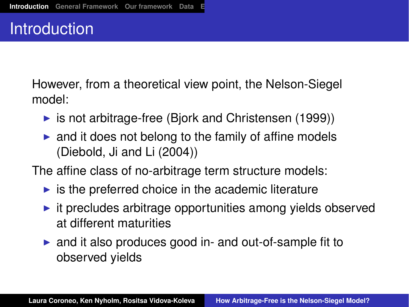#### Introduction

However, from a theoretical view point, the Nelson-Siegel model:

- is not arbitrage-free (Bjork and Christensen  $(1999)$ )
- $\triangleright$  and it does not belong to the family of affine models (Diebold, Ji and Li (2004))

The affine class of no-arbitrage term structure models:

- $\triangleright$  is the preferred choice in the academic literature
- $\blacktriangleright$  it precludes arbitrage opportunities among yields observed at different maturities
- $\triangleright$  and it also produces good in- and out-of-sample fit to observed yields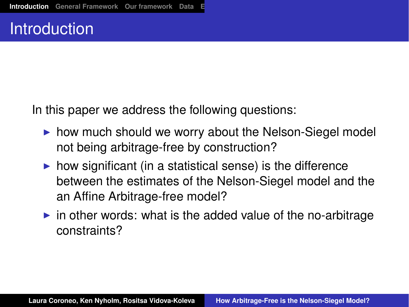#### **Introduction**

In this paper we address the following questions:

- $\triangleright$  how much should we worry about the Nelson-Siegel model not being arbitrage-free by construction?
- $\triangleright$  how significant (in a statistical sense) is the difference between the estimates of the Nelson-Siegel model and the an Affine Arbitrage-free model?
- $\triangleright$  in other words: what is the added value of the no-arbitrage constraints?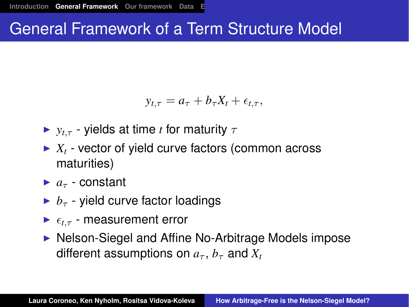## General Framework of a Term Structure Model

$$
y_{t,\tau} = a_{\tau} + b_{\tau}X_t + \epsilon_{t,\tau},
$$

- $\triangleright$   $y_t$ <sub>τ</sub> yields at time *t* for maturity  $\tau$
- $\blacktriangleright$   $X_t$  vector of yield curve factors (common across maturities)
- $\blacktriangleright$  *a<sub>τ</sub>* constant
- $\blacktriangleright$  *b<sub>τ</sub>* yield curve factor loadings
- $\blacktriangleright$   $\epsilon_{t\tau}$  measurement error
- ▶ Nelson-Siegel and Affine No-Arbitrage Models impose different assumptions on  $a_{\tau}$ ,  $b_{\tau}$  and  $X_t$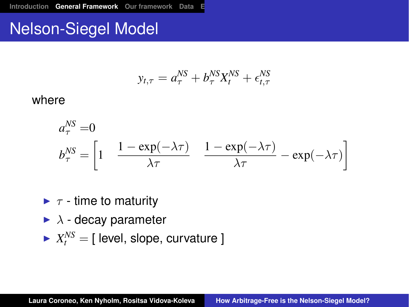# Nelson-Siegel Model

$$
y_{t,\tau} = a_{\tau}^{NS} + b_{\tau}^{NS} X_t^{NS} + \epsilon_{t,\tau}^{NS}
$$

#### where

$$
a_{\tau}^{NS} = 0
$$
  
\n
$$
b_{\tau}^{NS} = \left[1 - \frac{1 - \exp(-\lambda \tau)}{\lambda \tau} \frac{1 - \exp(-\lambda \tau)}{\lambda \tau} - \exp(-\lambda \tau)\right]
$$

- $\blacktriangleright$   $\tau$  time to maturity
- $\blacktriangleright$   $\lambda$  decay parameter
- $\blacktriangleright$   $X_t^{NS} = [$  level, slope, curvature ]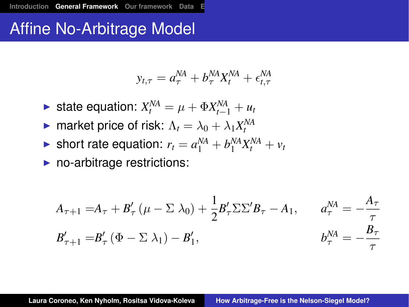#### Affine No-Arbitrage Model

$$
y_{t,\tau} = a_{\tau}^{NA} + b_{\tau}^{NA} X_t^{NA} + \epsilon_{t,\tau}^{NA}
$$

- ► state equation:  $X_t^{NA} = \mu + \Phi X_{t-1}^{NA} + u_t$
- **P** market price of risk:  $\Lambda_t = \lambda_0 + \lambda_1 X_t^{NA}$
- If short rate equation:  $r_t = a_1^{NA} + b_1^{NA}X_t^{NA} + v_t$

 $\blacktriangleright$  no-arbitrage restrictions:

$$
A_{\tau+1} = A_{\tau} + B'_{\tau} (\mu - \Sigma \lambda_0) + \frac{1}{2} B'_{\tau} \Sigma \Sigma' B_{\tau} - A_1, \qquad a_{\tau}^{NA} = -\frac{A_{\tau}}{\tau}
$$
  

$$
B'_{\tau+1} = B'_{\tau} (\Phi - \Sigma \lambda_1) - B'_1, \qquad b_{\tau}^{NA} = -\frac{B_{\tau}}{\tau}
$$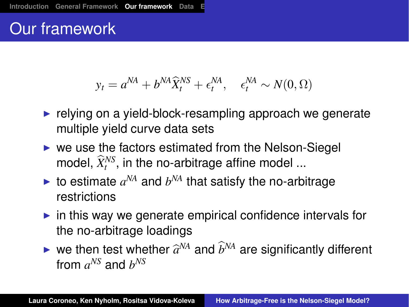# Our framework

$$
y_t = a^{NA} + b^{NA} \hat{X}_t^{NS} + \epsilon_t^{NA}, \quad \epsilon_t^{NA} \sim N(0, \Omega)
$$

- $\blacktriangleright$  relying on a yield-block-resampling approach we generate multiple yield curve data sets
- $\triangleright$  we use the factors estimated from the Nelson-Siegel model,  $\widehat{X}^{NS}_t$ , in the no-arbitrage affine model ...
- $\blacktriangleright$  to estimate  $a^{NA}$  and  $b^{NA}$  that satisfy the no-arbitrage restrictions
- $\triangleright$  in this way we generate empirical confidence intervals for the no-arbitrage loadings
- $\blacktriangleright$  we then test whether  $\widehat{a}^{NA}$  and  $\widehat{b}^{NA}$  are significantly different from  $a^{NS}$  and  $b^{NS}$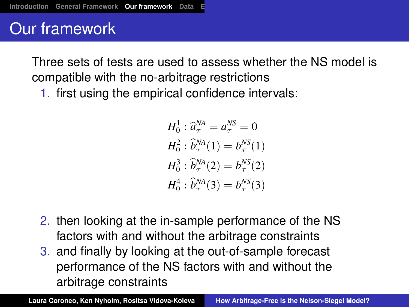# Our framework

Three sets of tests are used to assess whether the NS model is compatible with the no-arbitrage restrictions

1. first using the empirical confidence intervals:

$$
H_0^1: \hat{a}^{\text{NA}}_{\tau} = a^{\text{NS}}_{\tau} = 0
$$
  
\n
$$
H_0^2: \hat{b}^{\text{NA}}_{\tau}(1) = b^{\text{NS}}_{\tau}(1)
$$
  
\n
$$
H_0^3: \hat{b}^{\text{NA}}_{\tau}(2) = b^{\text{NS}}_{\tau}(2)
$$
  
\n
$$
H_0^4: \hat{b}^{\text{NA}}_{\tau}(3) = b^{\text{NS}}_{\tau}(3)
$$

- 2. then looking at the in-sample performance of the NS factors with and without the arbitrage constraints
- 3. and finally by looking at the out-of-sample forecast performance of the NS factors with and without the arbitrage constraints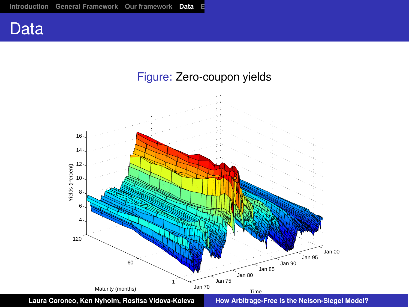

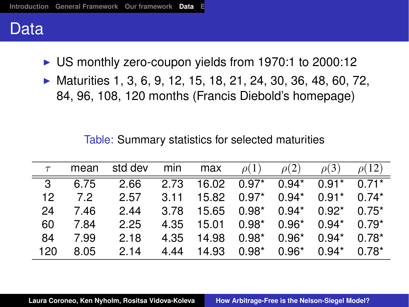#### Data

- $\triangleright$  US monthly zero-coupon yields from 1970:1 to 2000:12
- $\blacktriangleright$  Maturities 1, 3, 6, 9, 12, 15, 18, 21, 24, 30, 36, 48, 60, 72, 84, 96, 108, 120 months (Francis Diebold's homepage)

Table: Summary statistics for selected maturities

| $\tau$ | mean | std dev | min  | max   | $\rho(1)$ | $\rho(2)$ | $\rho(3)$ | $\rho(12)$ |
|--------|------|---------|------|-------|-----------|-----------|-----------|------------|
| - 3    | 6.75 | 2.66    | 2.73 | 16.02 | $0.97*$   | $0.94*$   | $0.91*$   | $0.71*$    |
| 12     | 72   | 2.57    | 3.11 | 15.82 | $0.97*$   | $0.94*$   | $0.91*$   | $0.74*$    |
| 24     | 7.46 | 2.44    | 3.78 | 15.65 | $0.98*$   | $0.94*$   | $0.92*$   | $0.75*$    |
| 60     | 7.84 | 2.25    | 4.35 | 15.01 | $0.98*$   | $0.96*$   | $0.94*$   | $0.79*$    |
| 84     | 7.99 | 2.18    | 4.35 | 14.98 | $0.98*$   | $0.96*$   | $0.94*$   | $0.78*$    |
| 120    | 8.05 | 2.14    | 4 44 | 14.93 | $0.98*$   | $0.96*$   | $0.94*$   | $0.78*$    |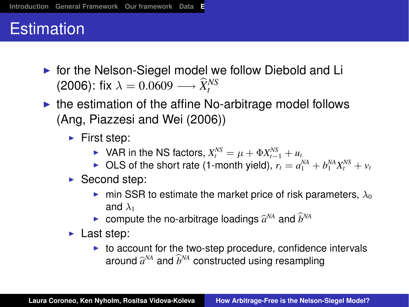# **Estimation**

- $\triangleright$  for the Nelson-Siegel model we follow Diebold and Li (2006): fix  $\lambda = 0.0609 \longrightarrow \widehat{X}^{NS}_t$
- $\triangleright$  the estimation of the affine No-arbitrage model follows (Ang, Piazzesi and Wei (2006))
	- $\blacktriangleright$  First step:
		- ▶ VAR in the NS factors,  $X_t^{NS} = \mu + \Phi X_{t-1}^{NS} + u_t$
		- ▶ OLS of the short rate (1-month yield),  $r_t = a_1^{NA} + b_1^{NA}X_t^{NS} + v_t$
	- $\triangleright$  Second step:
		- ightharpoonup min SSR to estimate the market price of risk parameters,  $\lambda_0$ and  $\lambda_1$
		- **•** compute the no-arbitrage loadings  $\widehat{a}^{NA}$  and  $\widehat{b}^{NA}$
	- $\blacktriangleright$  Last step:
		- $\triangleright$  to account for the two-step procedure, confidence intervals around  $\widehat{a}^{\scriptscriptstyle \sf{N}}$  and  $\widehat{b}^{\scriptscriptstyle \sf{N}}$  constructed using resampling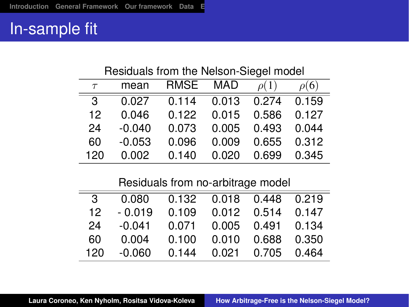#### In-sample fit

| Residuals from the Nelson-Siegel model |          |             |            |           |           |  |  |  |
|----------------------------------------|----------|-------------|------------|-----------|-----------|--|--|--|
| $\tau$                                 | mean     | <b>RMSE</b> | <b>MAD</b> | $\rho(1)$ | $\rho(6)$ |  |  |  |
| 3                                      | 0.027    | 0.114       | 0.013      | 0.274     | 0.159     |  |  |  |
| 12                                     | 0.046    | 0.122       | 0.015      | 0.586     | 0.127     |  |  |  |
| 24                                     | $-0.040$ | 0.073       | 0.005      | 0.493     | 0.044     |  |  |  |
| 60                                     | $-0.053$ | 0.096       | 0.009      | 0.655     | 0.312     |  |  |  |
| 120                                    | 0.002    | 0.140       | 0.020      | 0.699     | 0.345     |  |  |  |

Residuals from no-arbitrage model

| 3   |          | 0.080  0.132  0.018  0.448  0.219 |                            |  |
|-----|----------|-----------------------------------|----------------------------|--|
| 12. | $-0.019$ | 0.109  0.012  0.514  0.147        |                            |  |
| 24  | -0.041   | 0.071  0.005  0.491  0.134        |                            |  |
| 60  | 0.004    |                                   | 0.100  0.010  0.688  0.350 |  |
| 120 | -0.060   |                                   | 0.144 0.021 0.705 0.464    |  |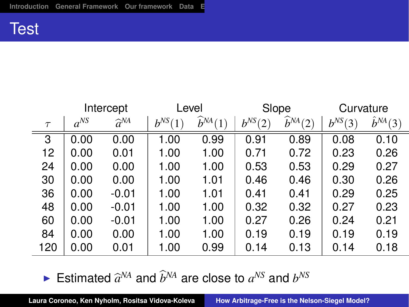#### **Test**

|        | Intercept |                    | Level       |                       | Slope       |                                        | Curvature   |                   |
|--------|-----------|--------------------|-------------|-----------------------|-------------|----------------------------------------|-------------|-------------------|
| $\tau$ | $a^{NS}$  | $\widehat{a}^{NA}$ | $b^{NS}(1)$ | $\widehat{b}^{NA}(1)$ | $b^{NS}(2)$ | $\widehat{b}^{NA}$ (<br>$\overline{2}$ | $b^{NS}(3)$ | $\hat{b}^{NA}(3)$ |
| 3      | 0.00      | 0.00               | 1.00        | 0.99                  | 0.91        | 0.89                                   | 0.08        | 0.10              |
| 12     | 0.00      | 0.01               | 1.00        | 1.00                  | 0.71        | 0.72                                   | 0.23        | 0.26              |
| 24     | 0.00      | 0.00               | 1.00        | 1.00                  | 0.53        | 0.53                                   | 0.29        | 0.27              |
| 30     | 0.00      | 0.00               | 1.00        | 1.01                  | 0.46        | 0.46                                   | 0.30        | 0.26              |
| 36     | 0.00      | $-0.01$            | 1.00        | 1.01                  | 0.41        | 0.41                                   | 0.29        | 0.25              |
| 48     | 0.00      | $-0.01$            | 1.00        | 1.00                  | 0.32        | 0.32                                   | 0.27        | 0.23              |
| 60     | 0.00      | $-0.01$            | 1.00        | 1.00                  | 0.27        | 0.26                                   | 0.24        | 0.21              |
| 84     | 0.00      | 0.00               | 1.00        | 1.00                  | 0.19        | 0.19                                   | 0.19        | 0.19              |
| 120    | 0.00      | 0.01               | 1.00        | 0.99                  | 0.14        | 0.13                                   | 0.14        | 0.18              |

Estimated  $\widehat{a}^{NA}$  and  $\widehat{b}^{NA}$  are close to  $a^{NS}$  and  $b^{NS}$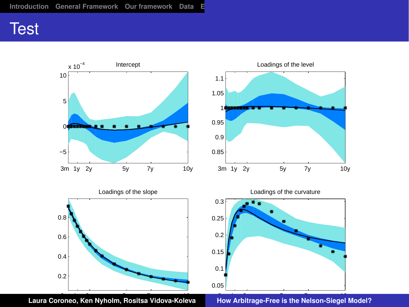### **Test**



How Arbitrage-Free is the Nelson-Siegel Model?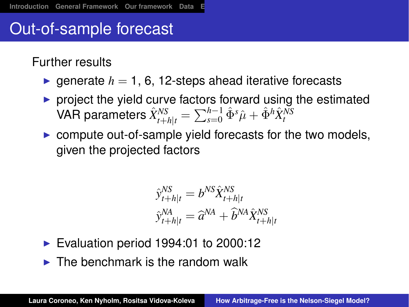# Out-of-sample forecast

Further results

- **P** generate  $h = 1$ , 6, 12-steps ahead iterative forecasts
- $\triangleright$  project the yield curve factors forward using the estimated  $\hat{X}_{t+h|t}^{NS}$  =  $\sum_{s=0}^{h-1} \hat{\Phi}^s \hat{\mu} + \hat{\Phi}^h \hat{X}_t^{NS}$
- $\triangleright$  compute out-of-sample yield forecasts for the two models, given the projected factors

$$
\hat{y}_{t+h|t}^{NS} = b^{NS} \hat{X}_{t+h|t}^{NS}
$$

$$
\hat{y}_{t+h|t}^{NA} = \hat{a}^{NA} + \hat{b}^{NA} \hat{X}_{t+h|t}^{NS}
$$

- $\blacktriangleright$  Evaluation period 1994:01 to 2000:12
- $\triangleright$  The benchmark is the random walk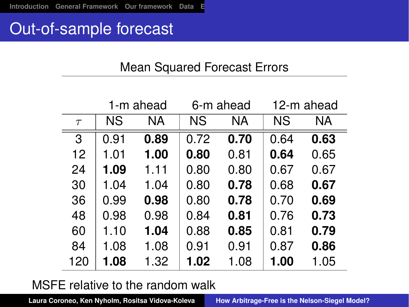#### Out-of-sample forecast

#### Mean Squared Forecast Errors

|        |           | 1-m ahead |           | 6-m ahead | 12-m ahead |      |
|--------|-----------|-----------|-----------|-----------|------------|------|
| $\tau$ | <b>NS</b> | NA        | <b>NS</b> | ΝA        | <b>NS</b>  | ΝA   |
| 3      | 0.91      | 0.89      | 0.72      | 0.70      | 0.64       | 0.63 |
| 12     | 1.01      | 1.00      | 0.80      | 0.81      | 0.64       | 0.65 |
| 24     | 1.09      | 1.11      | 0.80      | 0.80      | 0.67       | 0.67 |
| 30     | 1.04      | 1.04      | 0.80      | 0.78      | 0.68       | 0.67 |
| 36     | 0.99      | 0.98      | 0.80      | 0.78      | 0.70       | 0.69 |
| 48     | 0.98      | 0.98      | 0.84      | 0.81      | 0.76       | 0.73 |
| 60     | 1.10      | 1.04      | 0.88      | 0.85      | 0.81       | 0.79 |
| 84     | 1.08      | 1.08      | 0.91      | 0.91      | 0.87       | 0.86 |
| 120    | 1.08      | 1.32      | 1.02      | 1.08      | 1.00       | 1.05 |

MSFE relative to the random walk